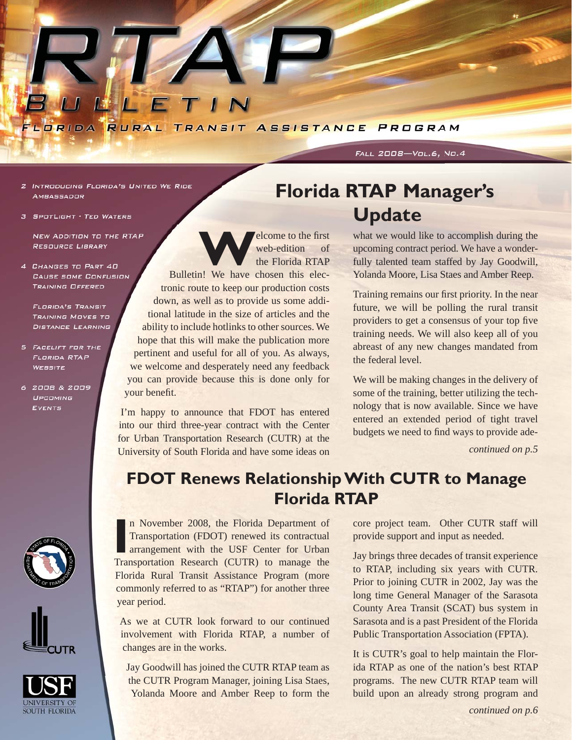

2 INTRODUCING FLORIDA'S UNITED WE RIDE **AMBASSADOR** 

3 SPOTLIGHT - TED WATERS

NEW ADDITION TO THE RTAP **RESOURCE LIBRARY** 

4 CHANGES TO PART 40 **CAUSE SOME CONFUSION** TRAINING OFFERED

**FLORIDA'S TRANSIT TRAINING MOVES TO DISTANCE LEARNING** 

- 5 FACELIFT FOR THE **FLORIDA RTAP WEBSITE**
- 6 2008 & 2009 UPCOMING **EVENTS**

SOUTH FLORIDA



**Web-edition**<br>the Florida RTAP web-edition of the Florida RTAP

Bulletin! We have chosen this electronic route to keep our production costs down, as well as to provide us some additional latitude in the size of articles and the ability to include hotlinks to other sources. We hope that this will make the publication more pertinent and useful for all of you. As always, we welcome and desperately need any feedback you can provide because this is done only for your benefit.

I'm happy to announce that FDOT has entered into our third three-year contract with the Center for Urban Transportation Research (CUTR) at the University of South Florida and have some ideas on *continued on p.5* 

# **Florida RTAP Manager's Update**

FALL 2008-Vol.6, No.4

what we would like to accomplish during the upcoming contract period. We have a wonderfully talented team staffed by Jay Goodwill, Yolanda Moore, Lisa Staes and Amber Reep.

Training remains our first priority. In the near future, we will be polling the rural transit providers to get a consensus of your top five training needs. We will also keep all of you abreast of any new changes mandated from the federal level.

We will be making changes in the delivery of some of the training, better utilizing the technology that is now available. Since we have entered an extended period of tight travel budgets we need to find ways to provide ade-

### **FDOT Renews Relationship With CUTR to Manage Florida RTAP**

In November 2008, the Florida Department of Transportation (FDOT) renewed its contractual arrangement with the USF Center for Urban Transportation Research (CUTR) to manage the n November 2008, the Florida Department of Transportation (FDOT) renewed its contractual arrangement with the USF Center for Urban Florida Rural Transit Assistance Program (more commonly referred to as "RTAP") for another three year period.

As we at CUTR look forward to our continued involvement with Florida RTAP, a number of changes are in the works.

Jay Goodwill has joined the CUTR RTAP team as the CUTR Program Manager, joining Lisa Staes, Yolanda Moore and Amber Reep to form the core project team. Other CUTR staff will provide support and input as needed.

Jay brings three decades of transit experience to RTAP, including six years with CUTR. Prior to joining CUTR in 2002, Jay was the long time General Manager of the Sarasota County Area Transit (SCAT) bus system in Sarasota and is a past President of the Florida Public Transportation Association (FPTA).

It is CUTR's goal to help maintain the Florida RTAP as one of the nation's best RTAP programs. The new CUTR RTAP team will build upon an already strong program and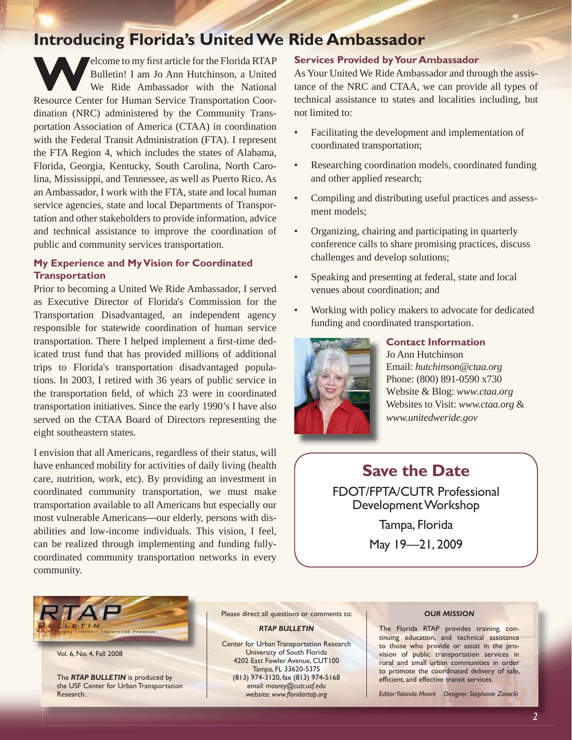### **Introducing Florida's United We Ride Ambassador**

Elcome to my first article for the Florida RTAP<br>Bulletin! I am Jo Ann Hutchinson, a United<br>We Ride Ambassador with the National<br>Becourse Center for Human Service Transportation Coor Bulletin! I am Jo Ann Hutchinson, a United We Ride Ambassador with the National Resource Center for Human Service Transportation Coordination (NRC) administered by the Community Transportation Association of America (CTAA) in coordination with the Federal Transit Administration (FTA). I represent the FTA Region 4, which includes the states of Alabama, Florida, Georgia, Kentucky, South Carolina, North Carolina, Mississippi, and Tennessee, as well as Puerto Rico. As an Ambassador, I work with the FTA, state and local human service agencies, state and local Departments of Transportation and other stakeholders to provide information, advice and technical assistance to improve the coordination of public and community services transportation.

#### **My Experience and My Vision for Coordinated Transportation**

Prior to becoming a United We Ride Ambassador, I served as Executive Director of Florida's Commission for the Transportation Disadvantaged, an independent agency responsible for statewide coordination of human service transportation. There I helped implement a first-time dedicated trust fund that has provided millions of additional trips to Florida's transportation disadvantaged populations. In 2003, I retired with 36 years of public service in the transportation field, of which 23 were in coordinated transportation initiatives. Since the early 1990's I have also served on the CTAA Board of Directors representing the eight southeastern states.

I envision that all Americans, regardless of their status, will have enhanced mobility for activities of daily living (health care, nutrition, work, etc). By providing an investment in coordinated community transportation, we must make transportation available to all Americans but especially our most vulnerable Americans—our elderly, persons with disabilities and low-income individuals. This vision, I feel, can be realized through implementing and funding fullycoordinated community transportation networks in every community.

#### **Services Provided by Your Ambassador**

As Your United We Ride Ambassador and through the assistance of the NRC and CTAA, we can provide all types of technical assistance to states and localities including, but not limited to:

- Facilitating the development and implementation of coordinated transportation;
- Researching coordination models, coordinated funding and other applied research;
- Compiling and distributing useful practices and assessment models;
- Organizing, chairing and participating in quarterly conference calls to share promising practices, discuss challenges and develop solutions;
- Speaking and presenting at federal, state and local venues about coordination; and
- Working with policy makers to advocate for dedicated funding and coordinated transportation.



#### **Contact Information** Jo Ann Hutchinson Email: *hutchinson@ctaa.org* Phone: (800) 891-0590 x730 Website & Blog: *www.ctaa.org* Websites to Visit: *www.ctaa.org* & *www.unitedweride.gov*

### **Save the Date**

FDOT/FPTA/CUTR Professional Development Workshop

> Tampa, Florida May 19—21, 2009



Vol. 6, No. 4, Fall 2008

The *RTAP BULLETIN* is produced by the USF Center for Urban Transportation Research.

Please direct all questions or comments to:

*RTAP BULLETIN*

Center for Urban Transportation Research University of South Florida 4202 East Fowler Avenue, CUT100 Tampa, FL 33620-5375 (813) 974-3120, fax (813) 974-5168 email: *[moorey@cutr.usf.edu](mailto:moorey@cutr.usf.edu)* website: www.floridartap.org

#### *OUR MISSION*

The Florida RTAP provides training, continuing education, and technical assistance to those who provide or assist in the provision of public transportation services in rural and small urban communities in order to promote the coordinated delivery of safe, efficient, and effective transit services.

*Editor: Yolanda Moore Designer: Stephanie Zavacki*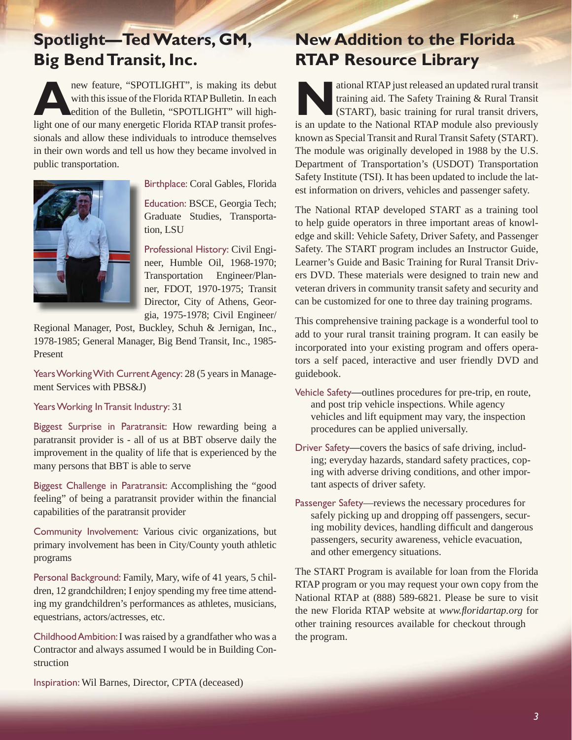### **Spotlight—Ted Waters, GM, Big Bend Transit, Inc.**

**A**new feature, "SPOTLIGHT", is making its debut with this issue of the Florida RTAP Bulletin. In each edition of the Bulletin, "SPOTLIGHT" will highlight one of our many energetic Florida RTAP transit professionals and allow these individuals to introduce themselves in their own words and tell us how they became involved in public transportation.



Birthplace: Coral Gables, Florida B

Education: BSCE, Georgia Tech; E Graduate Studies, Transporta-G tion, LSU

Professional History: Civil Engi-P neer, Humble Oil, 1968-1970; n Transportation Engineer/Plan-T ner, FDOT, 1970-1975; Transit n Director, City of Athens, Geor-D gia, 1975-1978; Civil Engineer/ g

Regional Manager, Post, Buckley, Schuh & Jernigan, Inc., 1978-1985; General Manager, Big Bend Transit, Inc., 1985- Present

Years Working With Current Agency: 28 (5 years in Management Services with PBS&J)

Years Working In Transit Industry: 31

Biggest Surprise in Paratransit: How rewarding being a paratransit provider is - all of us at BBT observe daily the improvement in the quality of life that is experienced by the many persons that BBT is able to serve

Biggest Challenge in Paratransit: Accomplishing the "good feeling" of being a paratransit provider within the financial capabilities of the paratransit provider

Community Involvement: Various civic organizations, but primary involvement has been in City/County youth athletic programs

Personal Background: Family, Mary, wife of 41 years, 5 children, 12 grandchildren; I enjoy spending my free time attending my grandchildren's performances as athletes, musicians, equestrians, actors/actresses, etc.

Childhood Ambition: I was raised by a grandfather who was a Contractor and always assumed I would be in Building Construction

### **New Addition to the Florida RTAP Resource Library**

ational RTAP just released an updated rural transit<br>training aid. The Safety Training & Rural Transit<br>(START), basic training for rural transit drivers,<br>is an undate to the National BTAP module also proviously training aid. The Safety Training & Rural Transit (START), basic training for rural transit drivers, is an update to the National RTAP module also previously known as Special Transit and Rural Transit Safety (START). The module was originally developed in 1988 by the U.S. Department of Transportation's (USDOT) Transportation Safety Institute (TSI). It has been updated to include the latest information on drivers, vehicles and passenger safety.

The National RTAP developed START as a training tool to help guide operators in three important areas of knowledge and skill: Vehicle Safety, Driver Safety, and Passenger Safety. The START program includes an Instructor Guide, Learner's Guide and Basic Training for Rural Transit Drivers DVD. These materials were designed to train new and veteran drivers in community transit safety and security and can be customized for one to three day training programs.

This comprehensive training package is a wonderful tool to add to your rural transit training program. It can easily be incorporated into your existing program and offers operators a self paced, interactive and user friendly DVD and guidebook.

- Vehicle Safety—outlines procedures for pre-trip, en route, and post trip vehicle inspections. While agency vehicles and lift equipment may vary, the inspection procedures can be applied universally.
- Driver Safety—covers the basics of safe driving, including; everyday hazards, standard safety practices, coping with adverse driving conditions, and other important aspects of driver safety.
- Passenger Safety—reviews the necessary procedures for safely picking up and dropping off passengers, securing mobility devices, handling difficult and dangerous passengers, security awareness, vehicle evacuation, and other emergency situations.

The START Program is available for loan from the Florida RTAP program or you may request your own copy from the National RTAP at (888) 589-6821. Please be sure to visit the new Florida RTAP website at *www.floridartap.org* for other training resources available for checkout through the program.

Inspiration: Wil Barnes, Director, CPTA (deceased)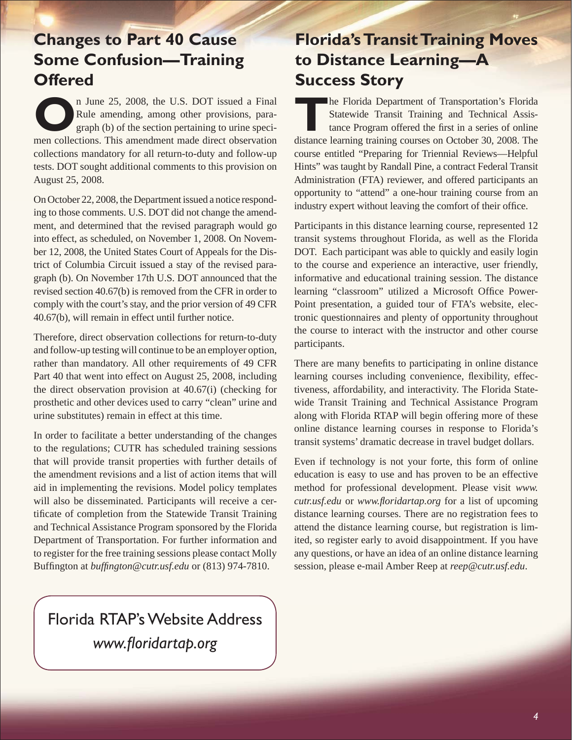### **Changes to Part 40 Cause Some Confusion—Training Offered**

**O**n June 25, 2008, the U.S. DOT issued a Final Rule amending, among other provisions, paragraph (b) of the section pertaining to urine specimen collections. This amendment made direct observation collections mandatory for all return-to-duty and follow-up tests. DOT sought additional comments to this provision on August 25, 2008.

On October 22, 2008, the Department issued a notice responding to those comments. U.S. DOT did not change the amendment, and determined that the revised paragraph would go into effect, as scheduled, on November 1, 2008. On November 12, 2008, the United States Court of Appeals for the District of Columbia Circuit issued a stay of the revised paragraph (b). On November 17th U.S. DOT announced that the revised section 40.67(b) is removed from the CFR in order to comply with the court's stay, and the prior version of 49 CFR 40.67(b), will remain in effect until further notice.

Therefore, direct observation collections for return-to-duty and follow-up testing will continue to be an employer option, rather than mandatory. All other requirements of 49 CFR Part 40 that went into effect on August 25, 2008, including the direct observation provision at 40.67(i) (checking for prosthetic and other devices used to carry "clean" urine and urine substitutes) remain in effect at this time.

In order to facilitate a better understanding of the changes to the regulations; CUTR has scheduled training sessions that will provide transit properties with further details of the amendment revisions and a list of action items that will aid in implementing the revisions. Model policy templates will also be disseminated. Participants will receive a certificate of completion from the Statewide Transit Training and Technical Assistance Program sponsored by the Florida Department of Transportation. For further information and to register for the free training sessions please contact Molly Buffington at *buffington@cutr.usf.edu* or (813) 974-7810.

## Florida RTAP's Website Address www.floridartap.org

### **Florida's Transit Training Moves to Distance Learning—A Success Story**

**The Florida Department of Transportation's Florida** Statewide Transit Training and Technical Assistance Program offered the first in a series of online distance learning training courses on October 30, 2008. The course entitled "Preparing for Triennial Reviews—Helpful Hints" was taught by Randall Pine, a contract Federal Transit Administration (FTA) reviewer, and offered participants an opportunity to "attend" a one-hour training course from an industry expert without leaving the comfort of their office.

Participants in this distance learning course, represented 12 transit systems throughout Florida, as well as the Florida DOT. Each participant was able to quickly and easily login to the course and experience an interactive, user friendly, informative and educational training session. The distance learning "classroom" utilized a Microsoft Office Power-Point presentation, a guided tour of FTA's website, electronic questionnaires and plenty of opportunity throughout the course to interact with the instructor and other course participants.

There are many benefits to participating in online distance learning courses including convenience, flexibility, effectiveness, affordability, and interactivity. The Florida Statewide Transit Training and Technical Assistance Program along with Florida RTAP will begin offering more of these online distance learning courses in response to Florida's transit systems' dramatic decrease in travel budget dollars.

Even if technology is not your forte, this form of online education is easy to use and has proven to be an effective method for professional development. Please visit *www. cutr.usf.edu* or *www.floridartap.org* for a list of upcoming distance learning courses. There are no registration fees to attend the distance learning course, but registration is limited, so register early to avoid disappointment. If you have any questions, or have an idea of an online distance learning session, please e-mail Amber Reep at *reep@cutr.usf.edu*.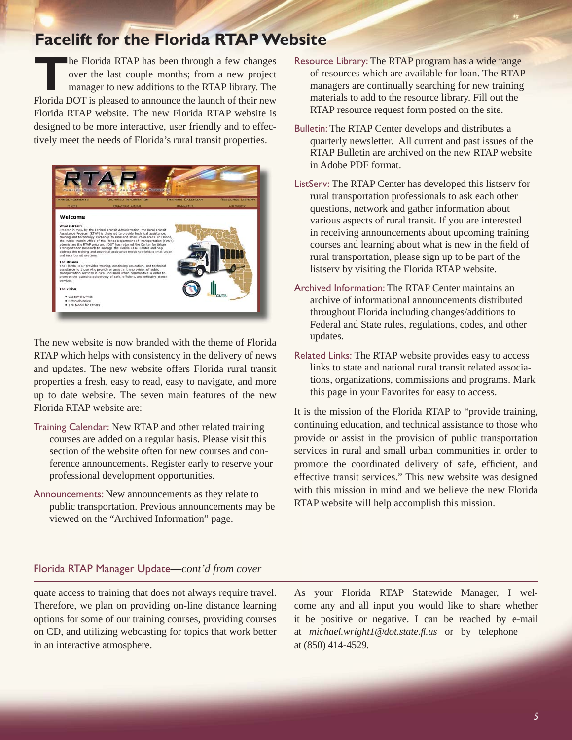#### **Facelift for the Florida RTAP Website**

**THE FLORIDA RTAP has been through a few changes<br>over the last couple months; from a new project<br>manager to new additions to the RTAP library. The<br>Elorida DOT is placeed to appearance the launch of their new** over the last couple months; from a new project manager to new additions to the RTAP library. The Florida DOT is pleased to announce the launch of their new Florida RTAP website. The new Florida RTAP website is designed to be more interactive, user friendly and to effectively meet the needs of Florida's rural transit properties.



The new website is now branded with the theme of Florida RTAP which helps with consistency in the delivery of news and updates. The new website offers Florida rural transit properties a fresh, easy to read, easy to navigate, and more up to date website. The seven main features of the new Florida RTAP website are:

- Training Calendar: New RTAP and other related training courses are added on a regular basis. Please visit this section of the website often for new courses and conference announcements. Register early to reserve your professional development opportunities.
- Announcements: New announcements as they relate to public transportation. Previous announcements may be viewed on the "Archived Information" page.
- Resource Library: The RTAP program has a wide range of resources which are available for loan. The RTAP managers are continually searching for new training materials to add to the resource library. Fill out the RTAP resource request form posted on the site.
- Bulletin: The RTAP Center develops and distributes a quarterly newsletter. All current and past issues of the RTAP Bulletin are archived on the new RTAP website in Adobe PDF format.
- ListServ: The RTAP Center has developed this listserv for rural transportation professionals to ask each other questions, network and gather information about various aspects of rural transit. If you are interested in receiving announcements about upcoming training courses and learning about what is new in the field of rural transportation, please sign up to be part of the listserv by visiting the Florida RTAP website.
- Archived Information: The RTAP Center maintains an archive of informational announcements distributed throughout Florida including changes/additions to Federal and State rules, regulations, codes, and other updates.
- Related Links: The RTAP website provides easy to access links to state and national rural transit related associations, organizations, commissions and programs. Mark this page in your Favorites for easy to access.

It is the mission of the Florida RTAP to "provide training, continuing education, and technical assistance to those who provide or assist in the provision of public transportation services in rural and small urban communities in order to promote the coordinated delivery of safe, efficient, and effective transit services." This new website was designed with this mission in mind and we believe the new Florida RTAP website will help accomplish this mission.

#### Florida RTAP Manager Update—*cont'd from cover*

quate access to training that does not always require travel. Therefore, we plan on providing on-line distance learning options for some of our training courses, providing courses on CD, and utilizing webcasting for topics that work better in an interactive atmosphere.

As your Florida RTAP Statewide Manager, I welcome any and all input you would like to share whether it be positive or negative. I can be reached by e-mail at *[michael.wright1@dot.state.](mailto:michael.wright1@dot.state.fl.us)fl .us* or by telephone at (850) 414-4529.